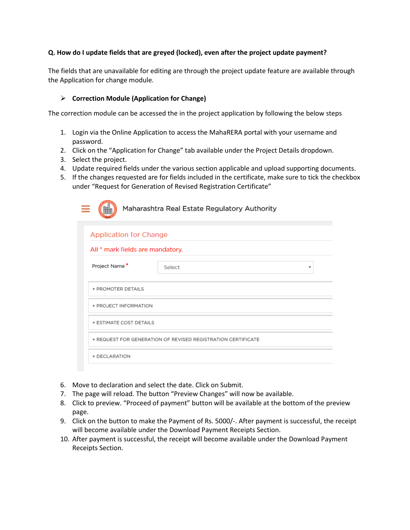### **Q. How do I update fields that are greyed (locked), even after the project update payment?**

The fields that are unavailable for editing are through the project update feature are available through the Application for change module.

### **Correction Module (Application for Change)**

The correction module can be accessed the in the project application by following the below steps

- 1. Login via the Online Application to access the MahaRERA portal with your username and password.
- 2. Click on the "Application for Change" tab available under the Project Details dropdown.
- 3. Select the project.
- 4. Update required fields under the various section applicable and upload supporting documents.
- 5. If the changes requested are for fields included in the certificate, make sure to tick the checkbox under "Request for Generation of Revised Registration Certificate"

|                                  | Maharashtra Real Estate Regulatory Authority                 |
|----------------------------------|--------------------------------------------------------------|
| <b>Application for Change</b>    |                                                              |
| All * mark fields are mandatory. |                                                              |
| Project Name*                    | Select<br>v                                                  |
| + PROMOTER DETAILS               |                                                              |
| + PROJECT INFORMATION            |                                                              |
| + ESTIMATE COST DETAILS          |                                                              |
|                                  | + REQUEST FOR GENERATION OF REVISED REGISTRATION CERTIFICATE |
| + DECLARATION                    |                                                              |

- 6. Move to declaration and select the date. Click on Submit.
- 7. The page will reload. The button "Preview Changes" will now be available.
- 8. Click to preview. "Proceed of payment" button will be available at the bottom of the preview page.
- 9. Click on the button to make the Payment of Rs. 5000/-. After payment is successful, the receipt will become available under the Download Payment Receipts Section.
- 10. After payment is successful, the receipt will become available under the Download Payment Receipts Section.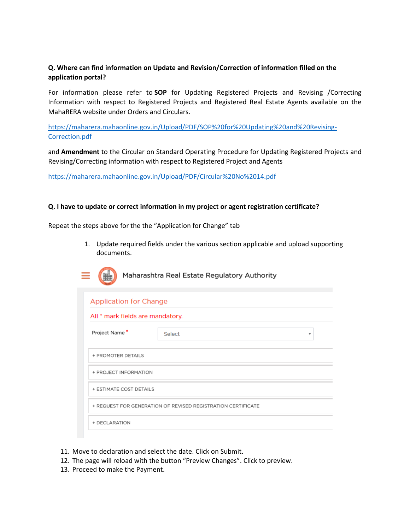## **Q. Where can find information on Update and Revision/Correction of information filled on the application portal?**

For information please refer to **SOP** for Updating Registered Projects and Revising /Correcting Information with respect to Registered Projects and Registered Real Estate Agents available on the MahaRERA website under Orders and Circulars.

[https://maharera.mahaonline.gov.in/Upload/PDF/SOP%20for%20Updating%20and%20Revising-](https://maharera.mahaonline.gov.in/Upload/PDF/SOP%20for%20Updating%20and%20Revising-Correction.pdf)[Correction.pdf](https://maharera.mahaonline.gov.in/Upload/PDF/SOP%20for%20Updating%20and%20Revising-Correction.pdf)

and **Amendment** to the Circular on Standard Operating Procedure for Updating Registered Projects and Revising/Correcting information with respect to Registered Project and Agents

<https://maharera.mahaonline.gov.in/Upload/PDF/Circular%20No%2014.pdf>

#### **Q. I have to update or correct information in my project or agent registration certificate?**

Repeat the steps above for the the "Application for Change" tab

1. Update required fields under the various section applicable and upload supporting documents.

|  | Maharashtra R |
|--|---------------|
|--|---------------|

eal Estate Regulatory Authority

| <b>Application for Change</b>                                |             |  |  |
|--------------------------------------------------------------|-------------|--|--|
| All * mark fields are mandatory.                             |             |  |  |
| Project Name*                                                | Select<br>v |  |  |
| + PROMOTER DETAILS                                           |             |  |  |
| + PROJECT INFORMATION                                        |             |  |  |
| + ESTIMATE COST DETAILS                                      |             |  |  |
| + REQUEST FOR GENERATION OF REVISED REGISTRATION CERTIFICATE |             |  |  |
| + DECLARATION                                                |             |  |  |

- 11. Move to declaration and select the date. Click on Submit.
- 12. The page will reload with the button "Preview Changes". Click to preview.
- 13. Proceed to make the Payment.